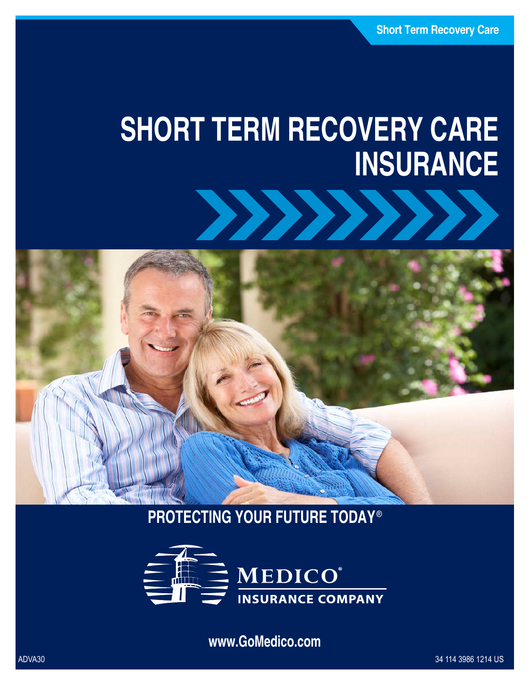# **SHORT TERM RECOVERY CARE INSURANCE**





## **PROTECTING YOUR FUTURE TODAY®**



**www.GoMedico.com**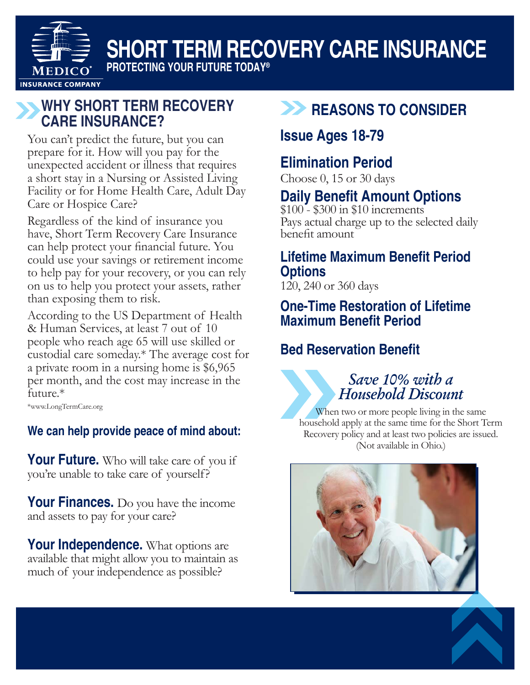

## **SHORT TERM RECOVERY CARE INSURANCE**

**PROTECTING YOUR FUTURE TODAY®**

#### **WHY SHORT TERM RECOVERY CARE INSURANCE?**

You can't predict the future, but you can prepare for it. How will you pay for the unexpected accident or illness that requires a short stay in a Nursing or Assisted Living Facility or for Home Health Care, Adult Day Care or Hospice Care?

Regardless of the kind of insurance you have, Short Term Recovery Care Insurance can help protect your financial future. You could use your savings or retirement income to help pay for your recovery, or you can rely on us to help you protect your assets, rather than exposing them to risk.

According to the US Department of Health & Human Services, at least 7 out of 10 people who reach age 65 will use skilled or custodial care someday.\* The average cost for a private room in a nursing home is \$6,965 per month, and the cost may increase in the future.\*

\*www.LongTermCare.org

#### **We can help provide peace of mind about:**

**Your Future.** Who will take care of you if you're unable to take care of yourself?

**Your Finances.** Do you have the income and assets to pay for your care?

Your Independence. What options are available that might allow you to maintain as much of your independence as possible?

### **REASONS TO CONSIDER**

#### **Issue Ages 18-79**

#### **Elimination Period**

Choose 0, 15 or 30 days

#### **Daily Benefit Amount Options**

\$100 - \$300 in \$10 increments Pays actual charge up to the selected daily benefit amount

#### **Lifetime Maximum Benefit Period Options**

120, 240 or 360 days

#### **One-Time Restoration of Lifetime Maximum Benefit Period**

#### **Bed Reservation Benefit**

#### *Save 10% with a Household Discount*

When two or more people living in the same household apply at the same time for the Short Term Recovery policy and at least two policies are issued. (Not available in Ohio.)



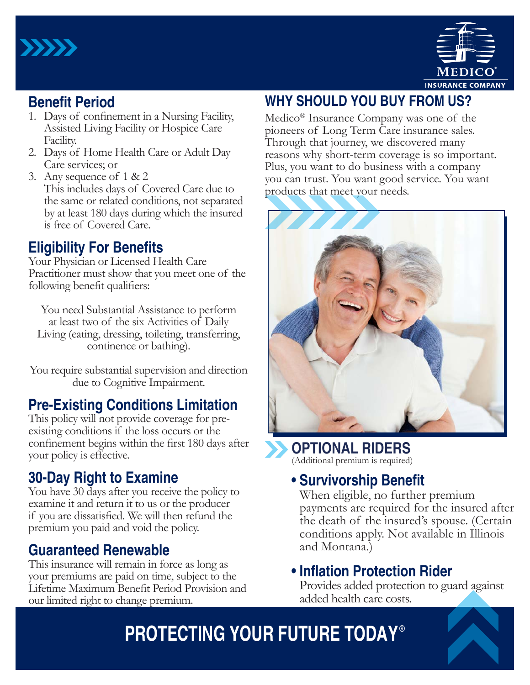



#### **Benefit Period**

- 1. Days of confinement in a Nursing Facility, Assisted Living Facility or Hospice Care Facility.
- 2. Days of Home Health Care or Adult Day Care services; or
- 3. Any sequence of 1 & 2 This includes days of Covered Care due to the same or related conditions, not separated by at least 180 days during which the insured is free of Covered Care.

#### **Eligibility For Benefits**

Your Physician or Licensed Health Care Practitioner must show that you meet one of the following benefit qualifiers:

You need Substantial Assistance to perform at least two of the six Activities of Daily Living (eating, dressing, toileting, transferring, continence or bathing).

You require substantial supervision and direction due to Cognitive Impairment.

#### **Pre-Existing Conditions Limitation**

This policy will not provide coverage for preexisting conditions if the loss occurs or the confinement begins within the first 180 days after your policy is effective.

#### **30-Day Right to Examine**

You have 30 days after you receive the policy to examine it and return it to us or the producer if you are dissatisfied. We will then refund the premium you paid and void the policy.

#### **Guaranteed Renewable**

This insurance will remain in force as long as your premiums are paid on time, subject to the Lifetime Maximum Benefit Period Provision and our limited right to change premium.

#### **WHY SHOULD YOU BUY FROM US?**

Medico® Insurance Company was one of the pioneers of Long Term Care insurance sales. Through that journey, we discovered many reasons why short-term coverage is so important. Plus, you want to do business with a company you can trust. You want good service. You want products that meet your needs.



**OPTIONAL RIDERS** (Additional premium is required)

### **• Survivorship Benefit**

When eligible, no further premium payments are required for the insured after the death of the insured's spouse. (Certain conditions apply. Not available in Illinois and Montana.)

#### **• Inflation Protection Rider**

Provides added protection to guard against added health care costs.

## **PROTECTING YOUR FUTURE TODAY** ®